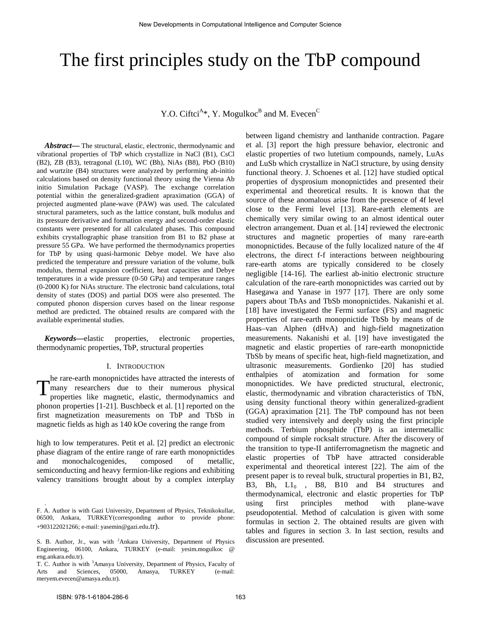# The first principles study on the TbP compound

Y.O. Ciftci<sup>A\*</sup>, Y. Mogulkoc<sup>B</sup> and M. Evecen<sup>C</sup>

*Abstract***—** The structural, elastic, electronic, thermodynamic and vibrational properties of TbP which crystallize in NaCl (B1), CsCl (B2), ZB (B3), tetragonal (L10), WC (Bh), NiAs (B8), PbO (B10) and wurtzite (B4) structures were analyzed by performing ab-initio calculations based on density functional theory using the Vienna Ab initio Simulation Package (VASP). The exchange correlation potential within the generalized-gradient apraximation (GGA) of projected augmented plane-wave (PAW) was used. The calculated structural parameters, such as the lattice constant, bulk modulus and its pressure derivative and formation energy and second-order elastic constants were presented for all calculated phases. This compound exhibits crystallographic phase transition from B1 to B2 phase at pressure 55 GPa. We have performed the thermodynamics properties for TbP by using quasi-harmonic Debye model. We have also predicted the temperature and pressure variation of the volume, bulk modulus, thermal expansion coefficient, heat capacities and Debye temperatures in a wide pressure (0-50 GPa) and temperature ranges (0-2000 K) for NiAs structure. The electronic band calculations, total density of states (DOS) and partial DOS were also presented. The computed phonon dispersion curves based on the linear response method are predicted. The obtained results are compared with the available experimental studies.

*Keywords***—**elastic properties, electronic properties, thermodynamic properties, TbP, structural properties

### I. INTRODUCTION

he rare-earth monopnictides have attracted the interests of The rare-earth monophictides have attracted the interests of<br>many researchers due to their numerous physical<br>properties like magnetic, elastic, thermodynamics and properties like magnetic, elastic, thermodynamics and phonon properties [1-21]. Buschbeck et al. [1] reported on the first magnetization measurements on TbP and TbSb in magnetic fields as high as 140 kOe covering the range from

high to low temperatures. Petit et al. [2] predict an electronic phase diagram of the entire range of rare earth monopnictides and monochalcogenides, composed of metallic, semiconducting and heavy fermion-like regions and exhibiting valency transitions brought about by a complex interplay between ligand chemistry and lanthanide contraction. Pagare et al. [3] report the high pressure behavior, electronic and elastic properties of two lutetium compounds, namely, LuAs and LuSb which crystallize in NaCl structure, by using density functional theory. J. Schoenes et al. [12] have studied optical properties of dysprosium monopnictides and presented their experimental and theoretical results. It is known that the source of these anomalous arise from the presence of 4f level close to the Fermi level [13]. Rare-earth elements are chemically very similar owing to an almost identical outer electron arrangement. Duan et al. [14] reviewed the electronic structures and magnetic properties of many rare-earth monopnictides. Because of the fully localized nature of the 4f electrons, the direct f-f interactions between neighbouring rare-earth atoms are typically considered to be closely negligible [14-16]. The earliest ab-initio electronic structure calculation of the rare-earth monopnictides was carried out by Hasegawa and Yanase in 1977 [17]. There are only some papers about TbAs and TbSb monopnictides. Nakanishi et al. [18] have investigated the Fermi surface (FS) and magnetic properties of rare-earth monopnictide TbSb by means of de Haas–van Alphen (dHvA) and high-field magnetization measurements. Nakanishi et al. [19] have investigated the magnetic and elastic properties of rare-earth monopnictide TbSb by means of specific heat, high-field magnetization, and ultrasonic measurements. Gordienko [20] has studied enthalpies of atomization and formation for some monopnictides. We have predicted structural, electronic, elastic, thermodynamic and vibration characteristics of TbN, using density functional theory within generalized-gradient (GGA) apraximation [21]. The TbP compound has not been studied very intensively and deeply using the first principle methods. Terbium phosphide (TbP) is an intermetallic compound of simple rocksalt structure. After the discovery of the transition to type-II antiferromagnetism the magnetic and elastic properties of TbP have attracted considerable experimental and theoretical interest [22]. The aim of the present paper is to reveal bulk, structural properties in B1, B2, B3, Bh, L1<sub>0</sub>, B8, B10 and B4 structures and thermodynamical, electronic and elastic properties for TbP using first principles method with plane-wave pseudopotential. Method of calculation is given with some formulas in section 2. The obtained results are given with tables and figures in section 3. In last section, results and discussion are presented.

.

F. A. Author is with Gazi University, Department of Physics, Teknikokullar, 06500, Ankara, TURKEY(corresponding author to provide phone: +903122021266; e-mail: yasemin@gazi.edu.tr).

S. B. Author, Jr., was with <sup>2</sup>Ankara University, Department of Physics Engineering, 06100, Ankara, TURKEY (e-mail: yesim.mogulkoc @ eng.ankara.edu.tr).

T. C. Author is with <sup>3</sup>Amasya University, Department of Physics, Faculty of Arts and Sciences, 05000, Amasya, TURKEY (e-mail: meryem.evecen@amasya.edu.tr).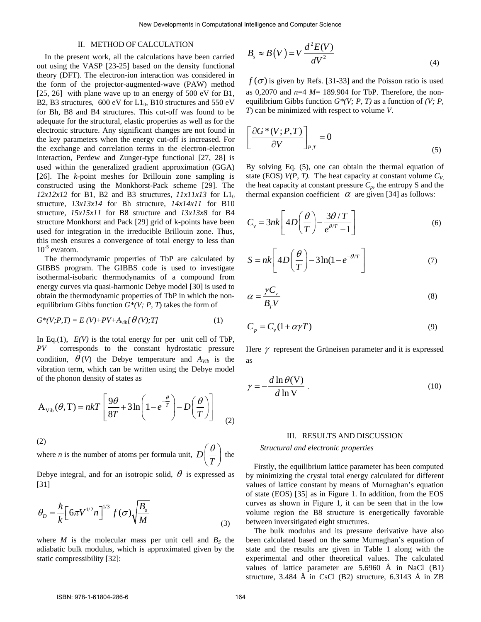## II. METHOD OF CALCULATION

In the present work, all the calculations have been carried out using the VASP [23-25] based on the density functional theory (DFT). The electron-ion interaction was considered in the form of the projector-augmented-wave (PAW) method [25, 26] with plane wave up to an energy of 500 eV for B1, B2, B3 structures,  $600 \text{ eV}$  for  $L1_0$ , B10 structures and 550 eV for Bh, B8 and B4 structures. This cut-off was found to be adequate for the structural, elastic properties as well as for the electronic structure. Any significant changes are not found in the key parameters when the energy cut-off is increased. For the exchange and correlation terms in the electron-electron interaction, Perdew and Zunger-type functional [27, 28] is used within the generalized gradient approximation (GGA) [26]. The *k*-point meshes for Brillouin zone sampling is constructed using the Monkhorst-Pack scheme [29]. The  $12x12x12$  for B1, B2 and B3 structures,  $11x11x13$  for L1<sub>0</sub> structure, *13x13x14* for Bh structure, *14x14x11* for B10 structure, *15x15x11* for B8 structure and *13x13x8* for B4 structure Monkhorst and Pack [29] grid of k-points have been used for integration in the irreducible Brillouin zone. Thus, this mesh ensures a convergence of total energy to less than  $10^{-5}$  ev/atom.

The thermodynamic properties of TbP are calculated by GIBBS program. The GIBBS code is used to investigate isothermal-isobaric thermodynamics of a compound from energy curves via quasi-harmonic Debye model [30] is used to obtain the thermodynamic properties of TbP in which the nonequilibrium Gibbs function  $G^*(V; P, T)$  takes the form of

$$
G^*(V;P,T) = E(V) + PV + A_{vib} \left[ \theta(V);T \right] \tag{1}
$$

In Eq.(1),  $E(V)$  is the total energy for per unit cell of TbP, *PV* corresponds to the constant hydrostatic pressure condition,  $\theta(V)$  the Debye temperature and  $A_{Vib}$  is the vibration term, which can be written using the Debye model of the phonon density of states as

$$
A_{\text{Vib}}(\theta, T) = nkT \left[ \frac{9\theta}{8T} + 3\ln\left(1 - e^{-\frac{\theta}{T}}\right) - D\left(\frac{\theta}{T}\right) \right]
$$
 (2)

(2)

where *n* is the number of atoms per formula unit, *D T*  $(\theta)$  $\left(\frac{r}{T}\right)$  the

Debye integral, and for an isotropic solid,  $\theta$  is expressed as [31]

$$
\theta_D = \frac{\hbar}{k} \left[ 6\pi V^{1/2} n \right]^{1/3} f(\sigma) \sqrt{\frac{B_s}{M}}
$$
\n(3)

where  $M$  is the molecular mass per unit cell and  $B<sub>S</sub>$  the adiabatic bulk modulus, which is approximated given by the static compressibility [32]:

$$
B_s \approx B(V) = V \frac{d^2 E(V)}{dV^2}
$$
\n(4)

 $f(\sigma)$  is given by Refs. [31-33] and the Poisson ratio is used as 0,2070 and *n*=4 *M*= 189.904 for TbP. Therefore, the nonequilibrium Gibbs function *G\*(V; P, T)* as a function of *(V; P, T*) can be minimized with respect to volume *V*.

$$
\left[\frac{\partial G^*(V;P,T)}{\partial V}\right]_{P,T} = 0
$$
\n(5)

By solving Eq. (5), one can obtain the thermal equation of state (EOS)  $V(P, T)$ . The heat capacity at constant volume  $C_V$ the heat capacity at constant pressure  $C_p$ , the entropy S and the thermal expansion coefficient  $\alpha$  are given [34] as follows:

$$
C_{v} = 3nk \left[ 4D\left(\frac{\theta}{T}\right) - \frac{3\theta/T}{e^{\theta/T} - 1} \right]
$$
 (6)

$$
S = nk \left[ 4D \left( \frac{\theta}{T} \right) - 3\ln(1 - e^{-\theta/T}) \right]
$$
 (7)

$$
\alpha = \frac{\gamma C_v}{B_T V} \tag{8}
$$

$$
C_p = C_v (1 + \alpha \gamma T) \tag{9}
$$

Here  $\gamma$  represent the Grüneisen parameter and it is expressed as

$$
\gamma = -\frac{d \ln \theta(\mathbf{V})}{d \ln \mathbf{V}} \tag{10}
$$

#### III. RESULTS AND DISCUSSION

## *Structural and electronic properties*

Firstly, the equilibrium lattice parameter has been computed by minimizing the crystal total energy calculated for different values of lattice constant by means of Murnaghan's equation of state (EOS) [35] as in Figure 1. In addition, from the EOS curves as shown in Figure 1, it can be seen that in the low volume region the B8 structure is energetically favorable between inversitigated eight structures.

The bulk modulus and its pressure derivative have also been calculated based on the same Murnaghan's equation of state and the results are given in Table 1 along with the experimental and other theoretical values. The calculated values of lattice parameter are 5.6960 Å in NaCl (B1) structure, 3.484 Å in CsCl (B2) structure, 6.3143 Å in ZB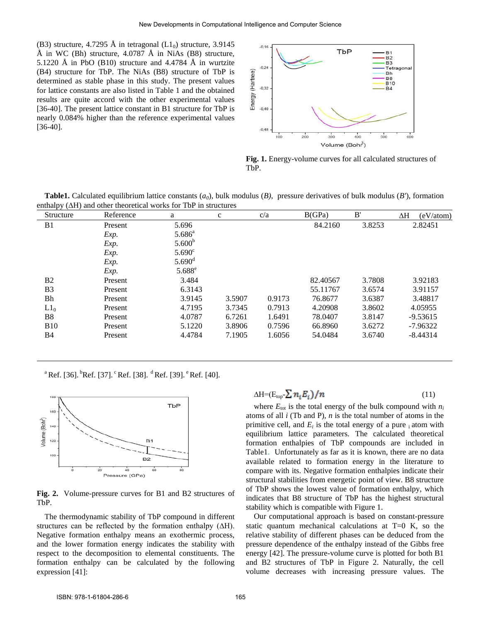(B3) structure, 4.7295 Å in tetragonal  $(L1_0)$  structure, 3.9145 Å in WC (Bh) structure,  $4.0787$  Å in NiAs (B8) structure, 5.1220 Å in PbO (B10) structure and 4.4784 Å in wurtzite (B4) structure for TbP. The NiAs (B8) structure of TbP is determined as stable phase in this study. The present values for lattice constants are also listed in Table 1 and the obtained results are quite accord with the other experimental values [36-40]. The present lattice constant in B1 structure for TbP is nearly 0.084% higher than the reference experimental values [36-40].



**Fig. 1.** Energy-volume curves for all calculated structures of TbP.

**Table1.** Calculated equilibrium lattice constants (*a0*), bulk modulus (*B)*, pressure derivatives of bulk modulus (*B'*), formation enthalpy (∆H) and other theoretical works for TbP in structures

| $\cdots$<br>Structure | Reference | a                  | $\mathbf c$ | c/a    | B(GPa)   | B'     | ΔH<br>(eV/atom) |
|-----------------------|-----------|--------------------|-------------|--------|----------|--------|-----------------|
| B1                    | Present   | 5.696              |             |        | 84.2160  | 3.8253 | 2.82451         |
|                       | Exp.      | $5.686^{\circ}$    |             |        |          |        |                 |
|                       | Exp.      | 5.600 <sup>b</sup> |             |        |          |        |                 |
|                       | Exp.      | $5.690^{\circ}$    |             |        |          |        |                 |
|                       | Exp.      | $5.690^{\rm d}$    |             |        |          |        |                 |
|                       | Exp.      | $5.688^e$          |             |        |          |        |                 |
| <b>B2</b>             | Present   | 3.484              |             |        | 82.40567 | 3.7808 | 3.92183         |
| B <sub>3</sub>        | Present   | 6.3143             |             |        | 55.11767 | 3.6574 | 3.91157         |
| Bh                    | Present   | 3.9145             | 3.5907      | 0.9173 | 76.8677  | 3.6387 | 3.48817         |
| $L1_0$                | Present   | 4.7195             | 3.7345      | 0.7913 | 4.20908  | 3.8602 | 4.05955         |
| <b>B8</b>             | Present   | 4.0787             | 6.7261      | 1.6491 | 78.0407  | 3.8147 | $-9.53615$      |
| <b>B10</b>            | Present   | 5.1220             | 3.8906      | 0.7596 | 66.8960  | 3.6272 | -7.96322        |
| B4                    | Present   | 4.4784             | 7.1905      | 1.6056 | 54.0484  | 3.6740 | $-8.44314$      |

<sup>a</sup> Ref. [36].  ${}^{b}$ Ref. [37]. <sup>c</sup> Ref. [38]. <sup>d</sup> Ref. [39]. <sup>e</sup> Ref. [40].



**Fig. 2.** Volume-pressure curves for B1 and B2 structures of TbP.

The thermodynamic stability of TbP compound in different structures can be reflected by the formation enthalpy (∆H). Negative formation enthalpy means an exothermic process, and the lower formation energy indicates the stability with respect to the decomposition to elemental constituents. The formation enthalpy can be calculated by the following expression [41]:

$$
\Delta H = (E_{top} \sum n_i E_i) / n \tag{11}
$$

where  $E_{\text{tot}}$  is the total energy of the bulk compound with  $n_i$ atoms of all *i* (Tb and P), *n* is the total number of atoms in the primitive cell, and  $E_i$  is the total energy of a pure  $\phi_i$  atom with equilibrium lattice parameters. The calculated theoretical formation enthalpies of TbP compounds are included in Table1. Unfortunately as far as it is known, there are no data available related to formation energy in the literature to compare with its. Negative formation enthalpies indicate their structural stabilities from energetic point of view. B8 structure of TbP shows the lowest value of formation enthalpy, which indicates that B8 structure of TbP has the highest structural stability which is compatible with Figure 1.

Our computational approach is based on constant-pressure static quantum mechanical calculations at  $T=0$  K, so the relative stability of different phases can be deduced from the pressure dependence of the enthalpy instead of the Gibbs free energy [42]. The pressure-volume curve is plotted for both B1 and B2 structures of TbP in Figure 2. Naturally, the cell volume decreases with increasing pressure values. The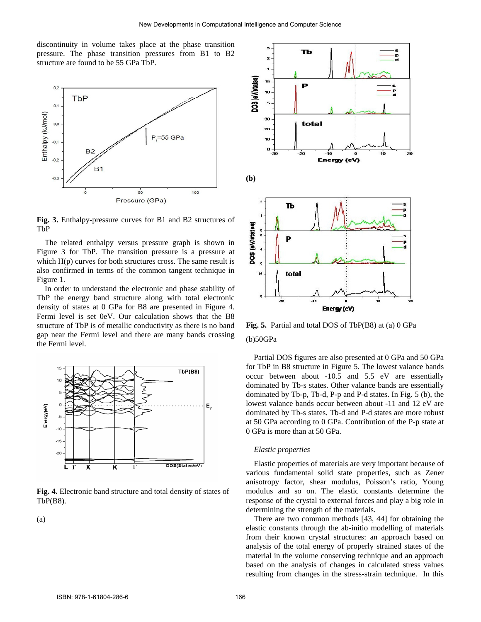discontinuity in volume takes place at the phase transition pressure. The phase transition pressures from B1 to B2 structure are found to be 55 GPa TbP.



**Fig. 3.** Enthalpy-pressure curves for B1 and B2 structures of TbP

The related enthalpy versus pressure graph is shown in Figure 3 for TbP. The transition pressure is a pressure at which  $H(p)$  curves for both structures cross. The same result is also confirmed in terms of the common tangent technique in Figure 1.

In order to understand the electronic and phase stability of TbP the energy band structure along with total electronic density of states at 0 GPa for B8 are presented in Figure 4. Fermi level is set 0eV. Our calculation shows that the B8 structure of TbP is of metallic conductivity as there is no band gap near the Fermi level and there are many bands crossing the Fermi level.



**Fig. 4.** Electronic band structure and total density of states of TbP(B8).

(a)



**Fig. 5.** Partial and total DOS of TbP(B8) at (a) 0 GPa (b)50GPa

Partial DOS figures are also presented at 0 GPa and 50 GPa for TbP in B8 structure in Figure 5. The lowest valance bands occur between about -10.5 and 5.5 eV are essentially dominated by Tb-s states. Other valance bands are essentially dominated by Tb-p, Tb-d, P-p and P-d states. In Fig. 5 (b), the lowest valance bands occur between about -11 and 12 eV are dominated by Tb-s states. Tb-d and P-d states are more robust at 50 GPa according to 0 GPa. Contribution of the P-p state at 0 GPa is more than at 50 GPa.

## *Elastic properties*

Elastic properties of materials are very important because of various fundamental solid state properties, such as Zener anisotropy factor, shear modulus, Poisson's ratio, Young modulus and so on. The elastic constants determine the response of the crystal to external forces and play a big role in determining the strength of the materials.

There are two common methods [43, 44] for obtaining the elastic constants through the ab-initio modelling of materials from their known crystal structures: an approach based on analysis of the total energy of properly strained states of the material in the volume conserving technique and an approach based on the analysis of changes in calculated stress values resulting from changes in the stress-strain technique. In this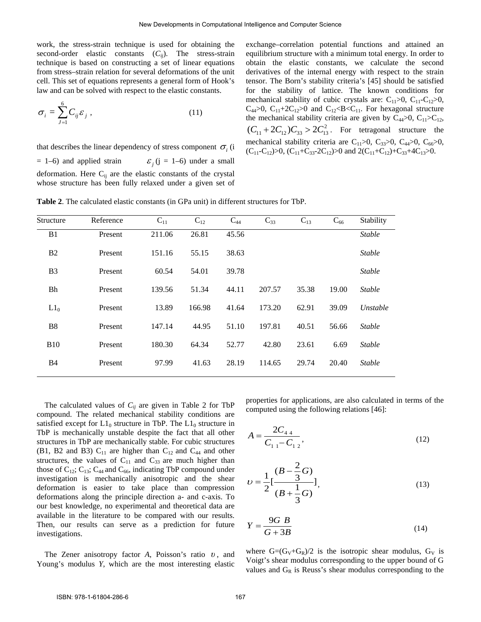work, the stress-strain technique is used for obtaining the second-order elastic constants  $(C_{ij})$ . The stress-strain technique is based on constructing a set of linear equations from stress–strain relation for several deformations of the unit cell. This set of equations represents a general form of Hook's law and can be solved with respect to the elastic constants.

$$
\sigma_i = \sum_{j=1}^{6} C_{ij} \varepsilon_j , \qquad (11)
$$

that describes the linear dependency of stress component  $\sigma_i$  (i  $= 1-6$ ) and applied strain  $\epsilon$ ; (j = 1–6) under a small deformation. Here  $C_{ij}$  are the elastic constants of the crystal whose structure has been fully relaxed under a given set of exchange–correlation potential functions and attained an equilibrium structure with a minimum total energy. In order to obtain the elastic constants, we calculate the second derivatives of the internal energy with respect to the strain tensor. The Born's stability criteria's [45] should be satisfied for the stability of lattice. The known conditions for mechanical stability of cubic crystals are:  $C_{11} > 0$ ,  $C_{11} - C_{12} > 0$ ,  $C_{44}$  $> 0$ ,  $C_{11}$ +2 $C_{12}$  $> 0$  and  $C_{12}$  $< B$  $< C_{11}$ . For hexagonal structure the mechanical stability criteria are given by  $C_{44} > 0$ ,  $C_{11} > C_{12}$ ,  $(C_{11} + 2C_{12})C_{33} > 2C_{13}^2$ . For tetragonal structure the mechanical stability criteria are C<sub>11</sub>>0, C<sub>33</sub>>0, C<sub>44</sub>>0, C<sub>66</sub>>0,  $(C_{11}-C_{12})>0$ ,  $(C_{11}+C_{33}-2C_{12})>0$  and  $2(C_{11}+C_{12})+C_{33}+4C_{13}>0$ .

| Structure      | Reference | $C_{11}$ | $C_{12}$ | $C_{44}$ | $C_{33}$ | $C_{13}$ | $C_{66}$ | Stability     |
|----------------|-----------|----------|----------|----------|----------|----------|----------|---------------|
| B1             | Present   | 211.06   | 26.81    | 45.56    |          |          |          | <b>Stable</b> |
| B <sub>2</sub> | Present   | 151.16   | 55.15    | 38.63    |          |          |          | <b>Stable</b> |
| B <sub>3</sub> | Present   | 60.54    | 54.01    | 39.78    |          |          |          | <b>Stable</b> |
| Bh             | Present   | 139.56   | 51.34    | 44.11    | 207.57   | 35.38    | 19.00    | <b>Stable</b> |
| $L1_0$         | Present   | 13.89    | 166.98   | 41.64    | 173.20   | 62.91    | 39.09    | Unstable      |
| <b>B8</b>      | Present   | 147.14   | 44.95    | 51.10    | 197.81   | 40.51    | 56.66    | <b>Stable</b> |
| <b>B10</b>     | Present   | 180.30   | 64.34    | 52.77    | 42.80    | 23.61    | 6.69     | <b>Stable</b> |
| B4             | Present   | 97.99    | 41.63    | 28.19    | 114.65   | 29.74    | 20.40    | <b>Stable</b> |

**Table 2**. The calculated elastic constants (in GPa unit) in different structures for TbP.

The calculated values of  $C_{ij}$  are given in Table 2 for TbP compound. The related mechanical stability conditions are satisfied except for  $L1_0$  structure in TbP. The  $L1_0$  structure in TbP is mechanically unstable despite the fact that all other structures in TbP are mechanically stable. For cubic structures (B1, B2 and B3)  $C_{11}$  are higher than  $C_{12}$  and  $C_{44}$  and other structures, the values of  $C_{11}$  and  $C_{33}$  are much higher than those of  $C_{12}$ ;  $C_{13}$ ;  $C_{44}$  and  $C_{66}$ , indicating TbP compound under investigation is mechanically anisotropic and the shear deformation is easier to take place than compression deformations along the principle direction a- and c-axis. To our best knowledge, no experimental and theoretical data are available in the literature to be compared with our results. Then, our results can serve as a prediction for future investigations.

The Zener anisotropy factor *A*, Poisson's ratio *υ* , and Young's modulus *Y*, which are the most interesting elastic properties for applications, are also calculated in terms of the computed using the following relations [46]:

$$
A = \frac{2C_{44}}{C_{11} - C_{12}},
$$
\n(12)

$$
U = \frac{1}{2} \left[ \frac{(B - \frac{2}{3}G)}{(B + \frac{1}{3}G)} \right],
$$
\n(13)

$$
Y = \frac{9G \ B}{G + 3B} \tag{14}
$$

where  $G=(G_V+G_R)/2$  is the isotropic shear modulus,  $G_V$  is Voigt's shear modulus corresponding to the upper bound of G values and  $G_R$  is Reuss's shear modulus corresponding to the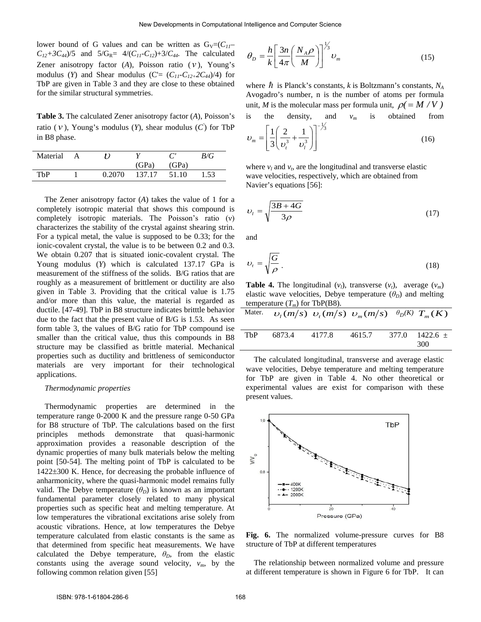lower bound of G values and can be written as  $G_V = (C_{II} - C_{II})$  $C_{12}+3C_{44}$ /5 and  $5/G_{R}=4/(C_{11}-C_{12})+3/C_{44}$ . The calculated Zener anisotropy factor (*A*), Poisson ratio ( *ν* ), Young's modulus (*Y*) and Shear modulus (C=  $(C_{11} - C_{12+2}C_{44})/4$ ) for TbP are given in Table 3 and they are close to these obtained for the similar structural symmetries.

**Table 3.** The calculated Zener anisotropy factor (*A*), Poisson's ratio ( *ν* ), Young's modulus (*Y*), shear modulus (*C'* ) for TbP in B8 phase.

| Material |        |        |       | B/G  |
|----------|--------|--------|-------|------|
|          |        | (GPa)  | (GPa) |      |
| ThP      | 0.2070 | 137.17 | 51.10 | 1.53 |

The Zener anisotropy factor (*A*) takes the value of 1 for a completely isotropic material that shows this compound is completely isotropic materials. The Poisson's ratio (ν) characterizes the stability of the crystal against shearing strin. For a typical metal, the value is supposed to be 0.33; for the ionic-covalent crystal, the value is to be between 0.2 and 0.3. We obtain 0.207 that is situated ionic-covalent crystal. The Young modulus (*Y*) which is calculated 137.17 GPa is measurement of the stiffness of the solids. B/G ratios that are roughly as a measurement of brittlement or ductility are also given in Table 3. Providing that the critical value is 1.75 and/or more than this value, the material is regarded as ductile. [47-49]. TbP in B8 structure indicates britttle behavior due to the fact that the present value of B/G is 1.53. As seen form table 3, the values of B/G ratio for TbP compound ise smaller than the critical value, thus this compounds in B8 structure may be classified as brittle material. Mechanical properties such as ductility and brittleness of semiconductor materials are very important for their technological applications.

#### *Thermodynamic properties*

Thermodynamic properties are determined in the temperature range 0-2000 K and the pressure range 0-50 GPa for B8 structure of TbP. The calculations based on the first principles methods demonstrate that quasi-harmonic approximation provides a reasonable description of the dynamic properties of many bulk materials below the melting point [50-54]. The melting point of TbP is calculated to be 1422±300 K. Hence, for decreasing the probable influence of anharmonicity, where the quasi-harmonic model remains fully valid. The Debye temperature  $(\theta_D)$  is known as an important fundamental parameter closely related to many physical properties such as specific heat and melting temperature. At low temperatures the vibrational excitations arise solely from acoustic vibrations. Hence, at low temperatures the Debye temperature calculated from elastic constants is the same as that determined from specific heat measurements. We have calculated the Debye temperature,  $\theta_D$ , from the elastic constants using the average sound velocity,  $v_m$ , by the following common relation given [55]

$$
\theta_D = \frac{h}{k} \left[ \frac{3n}{4\pi} \left( \frac{N_A \rho}{M} \right) \right]^{1/3} \nu_m \tag{15}
$$

where  $\hbar$  is Planck's constants, *k* is Boltzmann's constants,  $N_A$ Avogadro's number, n is the number of atoms per formula unit, *M* is the molecular mass per formula unit,  $\rho = M/V$ ) is the density, and  $v_m$  is obtained from

$$
v_m = \left[\frac{1}{3}\left(\frac{2}{v_i^3} + \frac{1}{v_i^3}\right)\right]^{-\frac{1}{3}}
$$
(16)

where  $v_l$  and  $v_t$ , are the longitudinal and transverse elastic wave velocities, respectively, which are obtained from Navier's equations [56]:

$$
v_t = \sqrt{\frac{3B + 4G}{3\rho}}
$$
\n(17)

and

$$
v_t = \sqrt{\frac{G}{\rho}} \,. \tag{18}
$$

**Table 4.** The longitudinal  $(v_i)$ , transverse  $(v_i)$ , average  $(v_m)$ elastic wave velocities, Debye temperature  $(\theta_D)$  and melting temperature  $(T_m)$  for TbP(B8).

|            | Mater. $v_1(m/s)$ $v_1(m/s)$ $v_m(m/s)$ $\theta_D(K)$ $T_m(K)$ |        |        |                             |
|------------|----------------------------------------------------------------|--------|--------|-----------------------------|
| <b>ThP</b> | 6873.4                                                         | 4177.8 | 4615.7 | $377.0$ $1422.6 \pm$<br>300 |

The calculated longitudinal, transverse and average elastic wave velocities, Debye temperature and melting temperature for TbP are given in Table 4. No other theoretical or experimental values are exist for comparison with these present values.



**Fig. 6.** The normalized volume-pressure curves for B8 structure of TbP at different temperatures

The relationship between normalized volume and pressure at different temperature is shown in Figure 6 for TbP. It can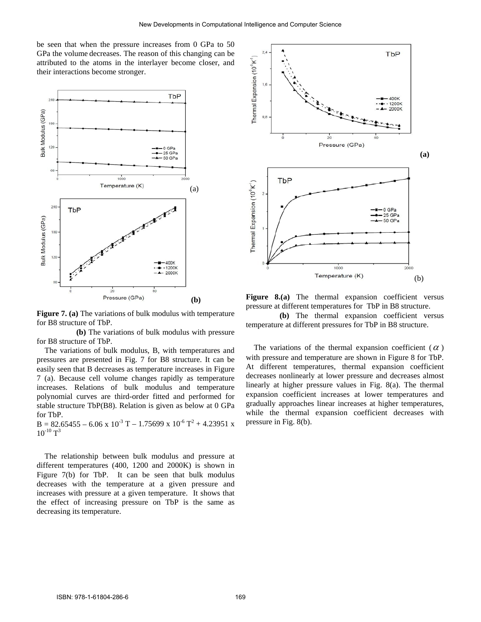be seen that when the pressure increases from 0 GPa to 50 GPa the volume decreases. The reason of this changing can be attributed to the atoms in the interlayer become closer, and their interactions become stronger.



**Figure 7. (a)** The variations of bulk modulus with temperature for B8 structure of TbP.

 **(b)** The variations of bulk modulus with pressure for B8 structure of TbP.

The variations of bulk modulus, B, with temperatures and pressures are presented in Fig. 7 for B8 structure. It can be easily seen that B decreases as temperature increases in Figure 7 (a). Because cell volume changes rapidly as temperature increases. Relations of bulk modulus and temperature polynomial curves are third-order fitted and performed for stable structure TbP(B8). Relation is given as below at 0 GPa for TbP.

 $B = 82.65455 - 6.06 \times 10^{-3} T - 1.75699 \times 10^{-6} T^2 + 4.23951 \times$  $10^{-10}$  T<sup>3</sup>

The relationship between bulk modulus and pressure at different temperatures (400, 1200 and 2000K) is shown in Figure 7(b) for TbP. It can be seen that bulk modulus decreases with the temperature at a given pressure and increases with pressure at a given temperature. It shows that the effect of increasing pressure on TbP is the same as decreasing its temperature.



Figure 8.(a) The thermal expansion coefficient versus pressure at different temperatures for TbP in B8 structure.

 **(b)** The thermal expansion coefficient versus temperature at different pressures for TbP in B8 structure.

The variations of the thermal expansion coefficient ( $\alpha$ ) with pressure and temperature are shown in Figure 8 for TbP. At different temperatures, thermal expansion coefficient decreases nonlinearly at lower pressure and decreases almost linearly at higher pressure values in Fig. 8(a). The thermal expansion coefficient increases at lower temperatures and gradually approaches linear increases at higher temperatures, while the thermal expansion coefficient decreases with pressure in Fig. 8(b).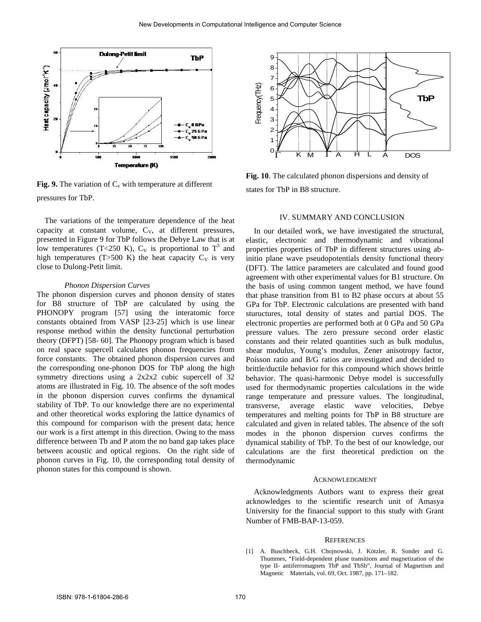

**Fig. 9.** The variation of  $C_v$  with temperature at different pressures for TbP.

The variations of the temperature dependence of the heat capacity at constant volume,  $C_V$ , at different pressures, presented in Figure 9 for TbP follows the Debye Law that is at low temperatures (T<250 K),  $C_V$  is proportional to T<sup>3</sup> and high temperatures (T>500 K) the heat capacity  $C_V$  is very close to Dulong-Petit limit.

#### *Phonon Dispersion Curves*

The phonon dispersion curves and phonon density of states for B8 structure of TbP are calculated by using the PHONOPY program [57] using the interatomic force constants obtained from VASP [23-25] which is use linear response method within the density functional perturbation theory (DFPT) [58- 60]. The Phonopy program which is based on real space supercell calculates phonon frequencies from force constants. The obtained phonon dispersion curves and the corresponding one-phonon DOS for TbP along the high symmetry directions using a 2x2x2 cubic supercell of 32 atoms are illustrated in Fig. 10. The absence of the soft modes in the phonon dispersion curves confirms the dynamical stability of TbP. To our knowledge there are no experimental and other theoretical works exploring the lattice dynamics of this compound for comparison with the present data; hence our work is a first attempt in this direction. Owing to the mass difference between Tb and P atom the no band gap takes place between acoustic and optical regions. On the right side of phonon curves in Fig. 10, the corresponding total density of phonon states for this compound is shown.



**Fig. 10**. The calculated phonon dispersions and density of states for TbP in B8 structure.

#### IV. SUMMARY AND CONCLUSION

In our detailed work, we have investigated the structural, elastic, electronic and thermodynamic and vibrational properties properties of TbP in different structures using abinitio plane wave pseudopotentials density functional theory (DFT). The lattice parameters are calculated and found good agreement with other experimental values for B1 structure. On the basis of using common tangent method, we have found that phase transition from B1 to B2 phase occurs at about 55 GPa for TbP. Electronic calculations are presented with band stuructures, total density of states and partial DOS. The electronic properties are performed both at 0 GPa and 50 GPa pressure values. The zero pressure second order elastic constants and their related quantities such as bulk modulus, shear modulus, Young's modulus, Zener anisotropy factor, Poisson ratio and B/G ratios are investigated and decided to brittle/ductile behavior for this compound which shows brittle behavior. The quasi-harmonic Debye model is successfully used for thermodynamic properties calculations in the wide range temperature and pressure values. The longitudinal, transverse, average elastic wave velocities, Debye temperatures and melting points for TbP in B8 structure are calculated and given in related tables. The absence of the soft modes in the phonon dispersion curves confirms the dynamical stability of TbP. To the best of our knowledge, our calculations are the first theoretical prediction on the thermodynamic

### ACKNOWLEDGMENT

Acknowledgments Authors want to express their great acknowledges to the scientific research unit of Amasya University for the financial support to this study with Grant Number of FMB-BAP-13-059.

#### **REFERENCES**

[1] A. Buschbeck, G.H. Chojnowski, J. Kötzler, R. Sonder and G. Thummes, "Field-dependent phase transitions and magnetization of the type II- antiferromagnets TbP and TbSb", Journal of Magnetism and Magnetic Materials, vol. 69, Oct. 1987, pp. 171–182.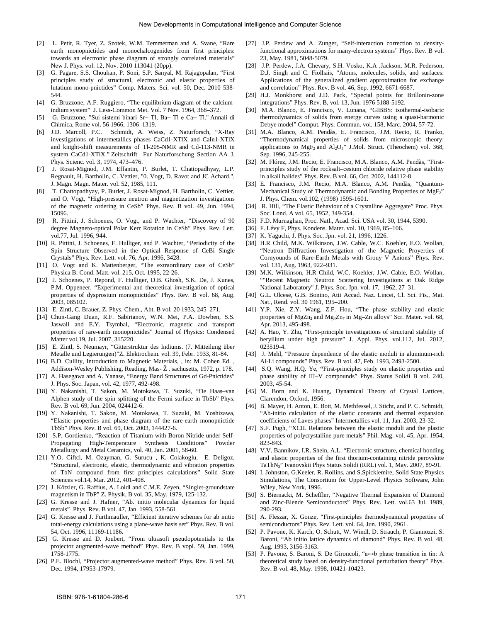- [2] L. Petit, R. Tyer, Z. Szotek, W.M. Temmerman and A. Svane, "Rare earth monopnictides and monochalcogenides from first principles: towards an electronic phase diagram of strongly correlated materials" New J. Phys. vol. 12, Nov. 2010 113041 (20pp).
- [3] G. Pagare, S.S. Chouhan, P. Soni, S.P. Sanyal, M. Rajagopalan, "First principles study of structural, electronic and elastic properties of lutatium mono-pnictides" Comp. Maters. Sci. vol. 50, Dec. 2010 538- 544.
- [4] G. Bruzzone, A.F. Ruggiero, "The equilibrium diagram of the calciumindium system" J. Less-Common Met. Vol. 7 Nov. 1964, 368–372.
- [5] G. Bruzzone, "Sui sistemi binari Sr− Tl, Ba− Tl e Ca− Tl." Annali di Chimica, Rome vol. 56 1966, 1306–1319.
- [6] J.D. Marcoll, P.C. Schmidt, A. Weiss, Z. Naturforsch, "X-Ray investigations of intermetallics phases CaCd1-XTlX and CaIn1-XTlX and knight-shift measurements of Tl-205-NMR and Cd-113-NMR in system CaCd1-XTlX." Zeitschrift Fur Naturforschung Section AA J. Phys. Scienc. vol. 3, 1974, 473–476.
- [7] J. Rosat-Mignod, J.M. Effantin, P. Burlet, T. Chattopadhyay, L.P. Regnault, H. Bartholin, C. Vettier, "0. Vogt, D. Ravot and JC Achard.", J. Magn. Magn. Mater. vol. 52, 1985, 111.
- [8] T. Chattopadhyay, P. Burlet, J. Rosat-Mignod, H. Bartholin, C. Vettier, and O. Vogt, "High-pressure neutron and magnetization investigations of the magnetic ordering in CeSb" Phys. Rev. B vol. 49, Jun. 1994, 15096.
- [9] R. Pittini, J. Schoenes, O. Vogt, and P. Wachter, "Discovery of 90 degree Magneto-optical Polar Kerr Rotation in CeSb" Phys. Rev. Lett. vol.77, Jul. 1996, 944.
- [10] R. Pittini, J. Schoenes, F. Hulliger, and P. Wachter, "Periodicity of the Spin Structure Observed in the Optical Response of CeBi Single Crystals" Phys. Rev. Lett. vol. 76, Apr. 1996, 3428.
- [11] O. Vogt and K. Mattenberger, "The extraordinary case of CeSb" Physica B: Cond. Matt. vol. 215, Oct. 1995, 22-26.
- [12] J. Schoenes, P. Repond, F. Hulliger, D.B. Ghosh, S.K. De, J. Kunes, P.M. Oppeneer, "Experimental and theoretical investigation of optical properties of dysprosium monopnictides" Phys. Rev. B vol. 68, Aug. 2003, 085102.
- [13] E. Zintl, C. Brauer, Z. Phys. Chem., Abt. B vol. 20 1933, 245–271.
- [14] Chun-Gang Duan, R.F. Sabirianov, W.N. Mei, P.A. Dowben, S.S. Jaswall and E.Y. Tsymbal, "Electronic, magnetic and transport properties of rare-earth monopnictides" Journal of Physics: Condensed Matter vol.19, Jul. 2007, 315220.
- [15] E. Zintl, S. Neumayr, "Gitterstruktur des Indiums. (7. Mitteilung über Metalle und Legierungen)"Z. Elektrochem. vol. 39, Febr. 1933, 81-84.
- [16] B.D. Cullity, Introduction to Magnetic Materials, , in: M. Cohen Ed., Addison-Wesley Publishing, Reading, Mas- Ž . sachusetts, 1972, p. 178.
- [17] A. Hasegawa and A. Yanase, "Energy Band Structures of Gd-Pnictides" J. Phys. Soc. Japan, vol. 42, 1977, 492-498.
- [18] Y. Nakanishi, T. Sakon, M. Motokawa, T. Suzuki, "De Haas–van Alphen study of the spin splitting of the Fermi surface in TbSb" Phys. Rev. B vol. 69, Jun. 2004, 024412-6.
- [19] Y. Nakanishi, T. Sakon, M. Motokawa, T. Suzuki, M. Yoshizawa, "Elastic properties and phase diagram of the rare-earth monopnictide TbSb" Phys. Rev. B vol. 69, Oct. 2003, 144427-6.
- [20] S.P. Gordienko, "Reaction of Titanium with Boron Nitride under Self-Propagating High-Temperature Synthesis Conditions" Powder Metallurgy and Metal Ceramics, vol. 40, Jan. 2001, 58-60.
- [21] Y.O. Ciftci, M. Ozayman, G. Surucu , K. Colakoglu, E. Deligoz, "Structural, electronic, elastic, thermodynamic and vibration properties of TbN compound from first principles calculations" Solid State Sciences vol.14, Mar. 2012, 401-408.
- [22] J. Kötzler, G. Raffius, A. Loidl and C.M.E. Zeyen, "Singlet-groundstate magnetism in TbP" Z. Physik, B vol. 35, May. 1979, 125-132.
- [23] G. Kresse and J. Hafner, "Ab. initio molecular dynamics for liquid metals" Phys. Rev. B vol. 47, Jan. 1993, 558-561.
- [24] G. Kresse and J. Furthmauller, "Efficient iterative schemes for ab initio total-energy calculations using a plane-wave basis set" Phys. Rev. B vol. 54, Oct. 1996, 11169-11186.
- [25] G. Kresse and D. Joubert, "From ultrasoft pseudopotentials to the projector augmented-wave method" Phys. Rev. B vopl. 59, Jan. 1999, 1758-1775.
- [26] P.E. Blochl, "Projector augmented-wave method" Phys. Rev. B vol. 50, Dec. 1994, 17953-17979.
- [27] J.P. Perdew and A. Zunger, "Self-interaction correction to densityfunctional approximations for many-electron systems" Phys. Rev. B vol. 23, May. 1981, 5048-5079.
- [28] J.P. Perdew, J.A. Chevary, S.H. Vosko, K.A .Jackson, M.R. Pederson, D.J. Singh and C. Fiolhais, "Atoms, molecules, solids, and surfaces: Applications of the generalized gradient approximation for exchange and correlation" Phys. Rev. B vol. 46, Sep. 1992, 6671-6687.
- [29] H.J. Monkhorst and J.D. Pack, "Special points for Brillonin-zone integrations" Phys. Rev. B, vol. 13, Jun. 1976 5188-5192.
- [30] M.A. Blanco, E. Francisco, V. Lunana, "GIBBS: isothermal-isobaric thermodynamics of solids from energy curves using a quasi-harmonic Debye model" Comput. Phys. Commun. vol. 158, Marc. 2004, 57-72.
- [31] M.A. Blanco, A.M. Pendàs, E. Francisco, J.M. Recio, R. Franko, "Thermodynamical properties of solids from microscopic theory: applications to  $MgF_2$  and  $Al_2O_3$ " J.Mol. Struct. (Theochem) vol. 368, Sep. 1996, 245-255.
- [32] M. Flórez, J.M. Recio, E. Francisco, M.A. Blanco, A.M. Pendàs, "Firstprinciples study of the rocksalt–cesium chloride relative phase stability in alkali halides" Phys. Rev. B vol. 66, Oct. 2002, 144112-8.
- [33] E. Francisco, J.M. Recio, M.A. Blanco, A.M. Pendàs, "Quantum-Mechanical Study of Thermodynamic and Bonding Properties of MgF<sub>2</sub>" J. Phys. Chem. vol.102, (1998) 1595-1601.
- [34] R. Hill, "The Elastic Behaviour of a Crystalline Aggregate" Proc. Phys. Soc. Lond. A vol. 65, 1952, 349-354.
- [35] F.D. Murnaghan, Proc. Natl., Acad. Sci. USA vol. 30, 1944, 5390.
- [36] F. Lévy F, Phys. Kondens. Mater. vol. 10, 1969, 85-106.
- [37] K. Yaguchi, J. Phys. Soc. Jpn. vol. 21, 1996, 1226.
- [38] H.R Child, M.K. Wilkinson, J.W. Cable, W.C. Koehler, E.O. Wollan, "Neutron Diffraction Investigation of the Magnetic Proyerties of Cornyounds of Rare-Earth Metals with Grouy V Anions" Phys. Rev. vol. 131, Aug. 1963, 922–931.
- [39] M.K. Wilkinson, H.R Child, W.C. Koehler, J.W. Cable, E.O. Wollan, ""Recent Magnetic Neutron Scattering Investigations at Oak Ridge National Laboratory" J. Phys. Soc. Jpn. vol. 17, 1962, 27–31.
- [40] G.L. Olcese, G.B. Bonino, Atti Accad. Naz. Lincei, Cl. Sci. Fis., Mat. Nat., Rend. vol. 30 1961, 195–200.
- [41] Y.P. Xie, Z.Y. Wang, Z.F. Hou, "The phase stability and elastic properties of  $MgZn<sub>2</sub>$  and  $Mg<sub>4</sub>Zn<sub>7</sub>$  in  $Mg-Zn$  alloys" Scr. Mater. vol. 68, Apr. 2013, 495-498.
- [42] A. Hao, Y. Zhu, "First-principle investigations of structural stability of beryllium under high pressure" J. Appl. Phys. vol.112, Jul. 2012, 023519-4.
- [43] J. Mehl, "Pressure dependence of the elastic moduli in aluminum-rich Al-Li compounds" Phys. Rev. B vol. 47, Feb. 1993, 2493-2500.
- [44] S.Q. Wang, H.Q. Ye, "First-principles study on elastic properties and phase stability of III–V compounds" Phys. Status Solidi B vol. 240, 2003, 45-54.
- [45] M. Born and K. Huang, Dynamical Theory of Crystal Lattices, Clarendon, Oxford, 1956.
- [46] B. Mayer, H. Anton, E. Bott, M. Methfessel, J. Sticht, and P. C. Schmidt, "Ab-initio calculation of the elastic constants and thermal expansion coefficients of Laves phases" Intermetallics vol. 11, Jan. 2003, 23-32.
- [47] S.F. Pugh, "XCII. Relations between the elastic moduli and the plastic properties of polycrystalline pure metals" Phil. Mag. vol. 45, Apr. 1954, 823-843.
- [48] V.V. Bannikov, I.R. Shein, A.L. "Electronic structure, chemical bonding and elastic properties of the first thorium-containing nitride perovskite TaThN3" Ivanovskii Phys Status Solidi (RRL) vol. 1, May. 2007, 89-91.
- [49] I. Johnston, G.Keeler, R. Rollins, and S.Spicklemire, Solid State Physics Simulations, The Consortium for Upper-Level Physics Software, John Wiley, New York, 1996.
- [50] S. Biernacki, M. Scheffler, "Negative Thermal Expansion of Diamond and Zinc-Blende Semiconductors" Phys. Rev. Lett. vol.63 Jul. 1989, 290-293.
- [51] A. Fleszar, X. Gonze, "First-principles thermodynamical properties of semiconductors" Phys. Rev. Lett. vol. 64, Jun. 1990, 2961.
- [52] P. Pavone, K. Karch, O. Schutt, W. Windl, D. Strauch, P. Giannozzi, S. Baroni, "Ab initio lattice dynamics of diamond" Phys. Rev. B vol. 48, Aug. 1993, 3156-3163.
- [53] P. Pavone, S. Baroni, S. De Gironcoli, "a↔b phase transition in tin: A theoretical study based on density-functional perturbation theory" Phys. Rev. B vol. 48, May. 1998, 10421-10423.